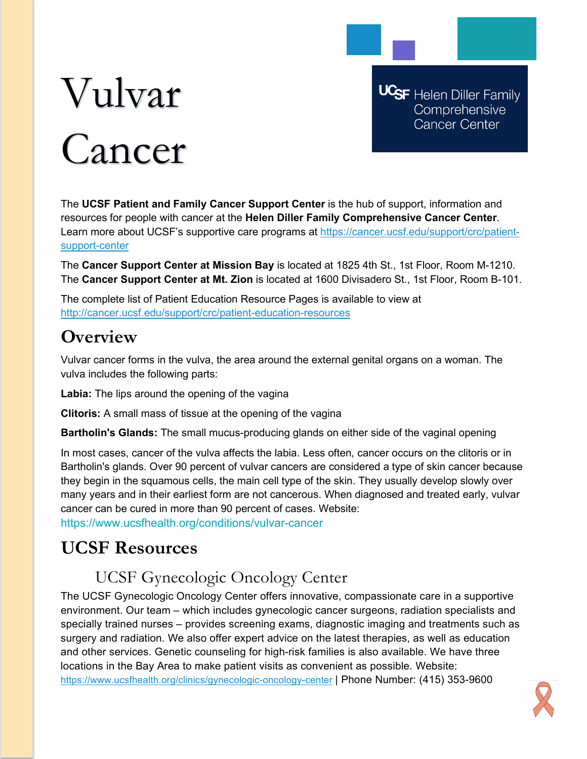# Vulvar Cancer

**UCSF** Helen Diller Family Comprehensive **Cancer Center** 

The **UCSF Patient and Family Cancer Support Center** is the hub of support, information and resources for people with cancer at the **Helen Diller Family Comprehensive Cancer Center**. Learn more about UCSF's supportive care programs at [https://cancer.ucsf.edu/support/crc/patient](https://cancer.ucsf.edu/support/crc/patient-support-center)[support-center](https://cancer.ucsf.edu/support/crc/patient-support-center)

The **Cancer Support Center at Mission Bay** is located at 1825 4th St., 1st Floor, Room M-1210. The **Cancer Support Center at Mt. Zion** is located at 1600 Divisadero St., 1st Floor, Room B-101.

The complete list of Patient Education Resource Pages is available to view at <http://cancer.ucsf.edu/support/crc/patient-education-resources>

## **Overview**

Vulvar cancer forms in the vulva, the area around the external genital organs on a woman. The vulva includes the following parts:

**Labia:** The lips around the opening of the vagina

**Clitoris:** A small mass of tissue at the opening of the vagina

**Bartholin's Glands:** The small mucus-producing glands on either side of the vaginal opening

In most cases, cancer of the vulva affects the labia. Less often, cancer occurs on the clitoris or in Bartholin's glands. Over 90 percent of vulvar cancers are considered a type of skin cancer because they begin in the squamous cells, the main cell type of the skin. They usually develop slowly over many years and in their earliest form are not cancerous. When diagnosed and treated early, vulvar cancer can be cured in more than 90 percent of cases. Website:

https://www.ucsfhealth.org/conditions/vulvar-cancer

# **UCSF Resources**

## UCSF Gynecologic Oncology Center

The UCSF Gynecologic Oncology Center offers innovative, compassionate care in a supportive environment. Our team – which includes gynecologic cancer surgeons, radiation specialists and specially trained nurses – provides screening exams, diagnostic imaging and treatments such as surgery and radiation. We also offer expert advice on the latest therapies, as well as education and other services. Genetic counseling for high-risk families is also available. We have three locations in the Bay Area to make patient visits as convenient as possible. Website: <https://www.ucsfhealth.org/clinics/gynecologic-oncology-center> | Phone Number: (415) 353-9600

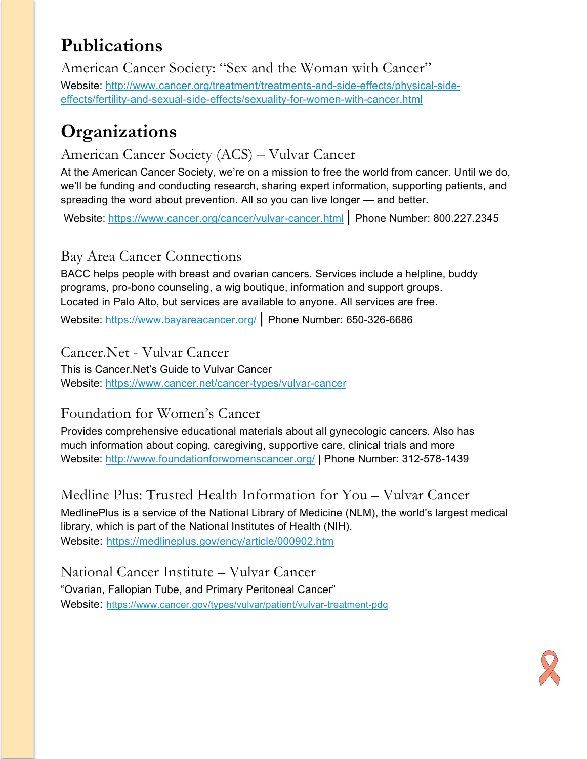## **Publications**

American Cancer Society: "Sex and the Woman with Cancer" Website: [http://www.cancer.org/treatment/treatments-and-side-effects/physical-side](http://www.cancer.org/treatment/treatments-and-side-effects/physical-side-effects/fertility-and-sexual-side-effects/sexuality-for-women-with-cancer.html)[effects/fertility-and-sexual-side-effects/sexuality-for-women-with-cancer.html](http://www.cancer.org/treatment/treatments-and-side-effects/physical-side-effects/fertility-and-sexual-side-effects/sexuality-for-women-with-cancer.html)

## **Organizations**

### American Cancer Society (ACS) – Vulvar Cancer

At the American Cancer Society, we're on a mission to free the world from cancer. Until we do, we'll be funding and conducting research, sharing expert information, supporting patients, and spreading the word about prevention. All so you can live longer — and better.

Website: <https://www.cancer.org/cancer/vulvar-cancer.html> | Phone Number: 800.227.2345

#### Bay Area Cancer Connections

BACC helps people with breast and ovarian cancers. Services include a helpline, buddy programs, pro-bono counseling, a wig boutique, information and support groups. Located in Palo Alto, but services are available to anyone. All services are free.

Website:<https://www.bayareacancer.org/> | Phone Number: 650-326-6686

#### Cancer.Net - Vulvar Cancer

This is Cancer.Net's Guide to Vulvar Cancer Website:<https://www.cancer.net/cancer-types/vulvar-cancer>

## Foundation for Women's Cancer

Provides comprehensive educational materials about all gynecologic cancers. Also has much information about coping, caregiving, supportive care, clinical trials and more Website:<http://www.foundationforwomenscancer.org/> | Phone Number: 312-578-1439

Medline Plus: Trusted Health Information for You – Vulvar Cancer MedlinePlus is a service of the National Library of Medicine (NLM), the world's largest medical library, which is part of the National Institutes of Health (NIH). Website: <https://medlineplus.gov/ency/article/000902.htm>

National Cancer Institute – Vulvar Cancer "Ovarian, Fallopian Tube, and Primary Peritoneal Cancer" Website: <https://www.cancer.gov/types/vulvar/patient/vulvar-treatment-pdq>